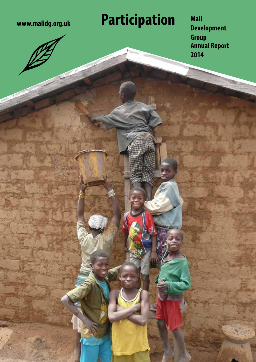# **www.malidg.org.uk Participation**

**Mali Development Group Annual Report 2014**

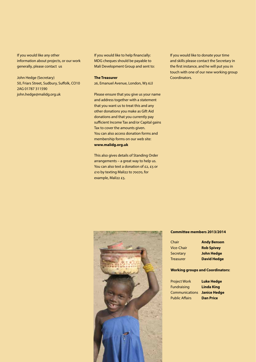If you would like any other information about projects, or our work generally, please contact us

John Hedge (Secretary) 50, Friars Street, Sudbury, Suffolk, CO10 2AG 01787 311590 john.hedge@malidg.org.uk

If you would like to help financially: MDG cheques should be payable to Mali Development Group and sent to:

**The Treasurer**

26, Emanuel Avenue, London, W3 6JJ

Please ensure that you give us your name and address together with a statement that you want us to treat this and any other donations you make as Gift Aid donations and that you currently pay sufficient Income Tax and/or Capital gains Tax to cover the amounts given. You can also access donation forms and membership forms on our web site: **www.malidg.org.uk**

This also gives details of Standing Order arrangements – a great way to help us. You can also text a donation of £2, £5 or £10 by texting Mali22 to 70070, for example, Mali22 £5.

If you would like to donate your time and skills please contact the Secretary in the first instance, and he will put you in touch with one of our new working group Coordinators.



#### **Committee members 2013/2014**

| Chair             | <b>Andy Benson</b> |
|-------------------|--------------------|
| <b>Vice-Chair</b> | <b>Rob Spivey</b>  |
| <b>Secretary</b>  | <b>John Hedge</b>  |
| <b>Treasurer</b>  | <b>David Hedge</b> |

#### **Working groups and Coordinators:**

Project Work **Luke Hedge** Fundraising **Linda King** Communications **Janice Hedge** Public Affairs **Dan Price**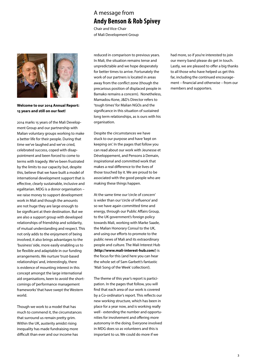## A message from **Andy Benson & Rob Spivey**

Chair and Vice-Chair of Mali Development Group



**Welcome to our 2014 Annual Report: 15 years and still on our feet!**

2014 marks 15 years of the Mali Development Group and our partnership with Malian voluntary groups working to make a better life for their people. During that time we've laughed and we've cried, celebrated success, coped with disappointment and been forced to come to terms with tragedy. We've been frustrated by the limits to our capacity but, despite this, believe that we have built a model of international development support that is effective, clearly sustainable, inclusive and egalitarian. MDG is a donor organisation – we raise money to support development work in Mali and though the amounts are not huge they are large enough to be significant at their destination. But we are also a support group with developed relationships of friendship and solidarity, of mutual understanding and respect. This not only adds to the enjoyment of being involved, it also brings advantages to the 'business' side, more easily enabling us to be flexible and adaptable in our funding arrangements. We nurture 'trust-based relationships' and, interestingly, there is evidence of mounting interest in this concept amongst the large international aid organisations, keen to avoid the shortcomings of 'performance management frameworks' that have swept the Western world.

Though we work to a model that has much to commend it, the circumstances that surround us remain pretty grim. Within the UK, austerity amidst rising inequality has made fundraising more difficult than ever and our income has

reduced in comparison to previous years. In Mali, the situation remains tense and unpredictable and we hope desperately for better times to arrive. Fortunately the work of our partners is located in areas away from the conflict zone (though the precarious position of displaced people in Bamako remains a concern). Nonetheless, Mamadou Kone, J&D's Director refers to 'tough times' for Malian NGOs and the significance in this situation of sustained long term relationships, as is ours with his organisation.

Despite the circumstances we have stuck to our purpose and have 'kept on keeping on'. In the pages that follow you can read about our work with Jeunesse et Développement, and Pensons à Demain, inspirational and committed work that makes a real difference to the lives of those touched by it. We are proud to be associated with the good people who are making these things happen.

At the same time our 'circle of concern' is wider than our 'circle of influence' and so we have again committed time and energy, through our Public Affairs Group, to the UK government's foreign policy towards Mali, working with Marke Saade, the Malian Honorary Consul to the UK, and using our efforts to promote to the public news of Mali and its extraordinary people and culture. The Mali Interest Hub (**http://www.mali-interest-hub.com/**) is the focus for this (and here you can hear the whole set of Sam Garbett's fantastic 'Mali Song of the Week' collection!).

The theme of this year's report is participation. In the pages that follow, you will find that each area of our work is covered by a Co-ordinator's report. This reflects our new working structure, which has been in place for a year now, and is working really well - extending the number and opportunities for involvement and offering more autonomy in the doing. Everyone involved in MDG does so as volunteers and this is important to us. We could do more if we

had more, so if you're interested to join our merry band please do get in touch. Lastly, we are pleased to offer a big thanks to all those who have helped us get this far, including the continued encouragement – financial and otherwise – from our members and supporters.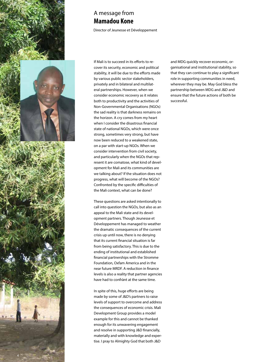

### A message from **Mamadou Kone**

Director of Jeunesse et Développement

If Mali is to succeed in its efforts to recover its security, economic and political stability, it will be due to the efforts made by various public sector stakeholders, privately and in bilateral and multilateral partnerships. However, when we consider economic recovery as it relates both to productivity and the activities of Non-Governmental Organisations (NGOs) the sad reality is that darkness remains on the horizon. A cry comes from my heart when I consider the disastrous financial state of national NGOs, which were once strong, sometimes very strong, but have now been reduced to a weakened state, on a par with start-up NGOs. When we consider intervention from civil society, and particularly when the NGOs that represent it are comatose, what kind of development for Mali and its communities are we talking about? If the situation does not progress, what will become of the NGOs? Confronted by the specific difficulties of the Mali context, what can be done?

These questions are asked intentionally to call into question the NGOs, but also as an appeal to the Mali state and its development partners. Though Jeunesse et Développement has managed to weather the dramatic consequences of the current crisis up until now, there is no denying that its current financial situation is far from being satisfactory. This is due to the ending of institutional and established financial partnerships with the Stromme Foundation, Oxfam America and in the near future MRDF. A reduction in finance levels is also a reality that partner agencies have had to confrànt at the same time.

In spite of this, huge efforts are being made by some of J&D's partners to raise levels of support to overcome and address the consequences of economic crisis. Mali Development Group provides a model example for this and cannot be thanked enough for its unwavering engagement and resolve in supporting J&D financially, materially and with knowledge and expertise. I pray to Almighty God that both J&D

and MDG quickly recover economic, organisational and institutional stability, so that they can continue to play a significant role in supporting communities in need, wherever they may be. May God bless the partnership between MDG and J&D and ensure that the future actions of both be successful.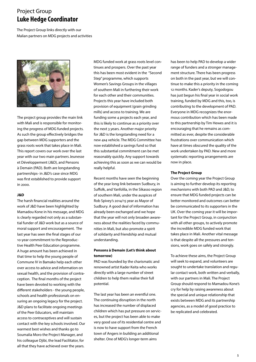### Project Group **Luke Hedge Coordinator**

The Project Group links directly with our Malian partners on MDG projects and activities



The project group provides the main link with Mali and is responsible for monitoring the progress of MDG funded projects. As such the group effectively bridges the gap between MDG supporters and the grass roots work that takes place in Mali. This report covers our work over the last year with our two main partners Jeunesse et Développement (J&D), and Pensons à Demain (PAD). Both are longstanding partnerships- in J&D's case since MDG was first established to provide support in 2000.

### **J&D**

The harsh financial realities around the work of J&D have been highlighted by Mamadou Kone in his message, and MDG is clearly regarded not only as a substantial funder of J&D work but as a source of moral support and encouragement. The last year has seen the final stages of our 10-year commitment to the Reproductive Health Peer Education programme. A huge amount has been achieved in that time to help the young people of Commune IV in Bamako help each other over access to advice and information on sexual health, and the provision of contraception. The final months of the project have been devoted to working with the different stakeholders - the young people, schools and health professionals on ensuring an ongoing legacy for the project. J&D plans to facilitate ongoing meetings of the Peer Educators, will maintain access to contraceptives and will sustain contact with the key schools involved. Our warmest best wishes and thanks go to Soumalia Moro the Project Manager, and his colleague Djibi, the lead Facilitator, for all that they have achieved over the years.

MDG funded work at grass roots level continues and prospers. Over the past year this has been most evident in the "Second Step" programme, which supports Women's Savings Groups in the villages of southern Mali in furthering their work for each other and their communities. Projects this year have included both provision of equipment (grain grinding mills) and access to training. We are funding some 4 projects each year, and this is likely to continue as a priority over the next 3 years. Another major priority for J&D is the longstanding need for a new 4x4 vehicle. The MDG Committee has now established a savings fund so that this substantial commitment can be met reasonably quickly. Any support towards achieving this as soon as we can would be really helpful.

Recent months have seen the beginning of the year long link between Sudbury, in Suffolk, and Yanfolila, in the Sikasso region of southern Mali, under the auspices of Rob Spivey's 2014/15 year as Mayor of Sudbury. A good deal of information has already been exchanged and we hope that the year will not only broaden awareness about the realities faced by communities in Mali, but also promote a spirit of solidarity and friendship and mutual understanding.

#### **Pensons à Demain (Let's think about tomorrow)**

PAD was founded by the charismatic and renowned artist Kader Keita who works directly with a large number of street children to help them realise their full potential.

The last year has been an eventful one. The continuing disruption in the north has increased the number of displaced children which has put pressure on services, but the project has been able to make very good use of its residential centre and is now to have support from the French town of Angers in building an additional shelter. One of MDG's longer-term aims

has been to help PAD to develop a wider range of funders and a stronger management structure. There has been progress on both in the past year, but we will continue to make this a priority in the coming 12 months. Kader's deputy, Sogodogou has just begun his final year in social work training, funded by MDG and this, too, is contributing to the development of PAD. Everyone in MDG recognizes the enormous contribution which has been made to this partnership by Tim Hewes and it is encouraging that he remains as committed as ever, despite the considerable frustrations over communication which have at times obscured the quality of the work undertaken by PAD. New and more systematic reporting arrangements are now in place.

#### **The Project Group**

Over the coming year the Project Group is aiming to further develop its reporting mechanisms with both PAD and J&D, to ensure that MDG funded projects can be better monitored and outcomes can better be communicated to its supporters in the UK. Over the coming year it will be important for the Project Group, in conjunction with all other groups, to actively promote the incredible MDG funded work that takes place in Mali. Another vital message is that despite all the pressures and tensions, work goes on safely and strongly.

To achieve these aims, the Project Group will seek to expand, and volunteers are sought to undertake translation and regular contact work, both written and verbally, with our partners in Mali. The Project Group should respond to Mamadou Kone's cry for help by raising awareness about the special and unique relationship that exists between MDG and its partnership agencies, as a model of good practice to be replicated and celebrated.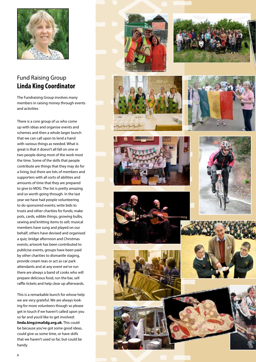

## Fund Raising Group **Linda King Coordinator**

The Fundraising Group involves many members in raising money through events and activities

There is a core group of us who come up with ideas and organise events and schemes and then a whole larger bunch that we can call upon to lend a hand with various things as needed. What is great is that it doesn't all fall on one or two people doing most of the work most the time. Some of the skills that people contribute are things that they may do for a living, but there are lots of members and supporters with all sorts of abilities and amounts of time that they are prepared to give to MDG. The list is pretty amazing and so worth going through. In the last year we have had people volunteering to do sponsored events; write bids to trusts and other charities for funds; make pots, cards, edible things, growing bulbs, sewing and knitting items to sell; musical members have sung and played on our behalf; others have devised and organised a quiz, bridge afternoon and Christmas events; artwork has been contributed to publicise events, groups have been paid by other charities to dismantle staging, provide cream teas or act as car park attendants and at any event we've run there are always a band of cooks who will prepare delicious food, run the bar, sell raffle tickets and help clear up afterwards.

This is a remarkable bunch for whose help we are very grateful. We are always looking for more volunteers though so please get in touch if we haven't called upon you so far and you'd like to get involved: **linda.king@malidg.org.uk**. This could be because you've got some good ideas, could give us some time, or have skills that we haven't used so far, but could be handy.





















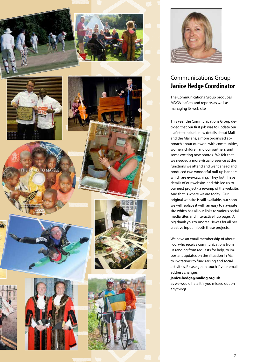



## Communications Group **Janice Hedge Coordinator**

The Communications Group produces MDG's leaflets and reports as well as managing its web site

This year the Communications Group decided that our first job was to update our leaflet to include new details about Mali and the Malians, a more organised approach about our work with communities, women, children and our partners, and some exciting new photos. We felt that we needed a more visual presence at the functions we attend and went ahead and produced two wonderful pull-up banners which are eye-catching. They both have details of our website, and this led us to our next project - a revamp of the website. And that is where we are today. Our original website is still available, but soon we will replace it with an easy to navigate site which has all our links to various social media sites and interactive hub page. A big thank you to Andrea Hewes for all her creative input in both these projects.

We have an email membership of about 500, who receive communications from us ranging from requests for help, to important updates on the situation in Mali, to invitations to fund raising and social activities. Please get in touch if your email address changes:

**janice.hedge@malidg.org.uk** 

as we would hate it if you missed out on anything!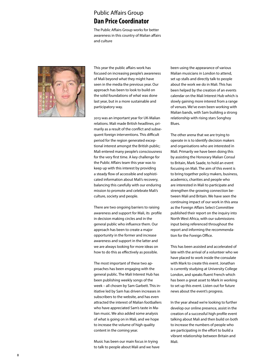## Public Affairs Group **Dan Price Coordinator**

The Public Affairs Group works for better awareness in this country of Malian affairs and culture



This year the public affairs work has focused on increasing people's awareness of Mali beyond what they might have seen in the media the previous year. Our approach has been to look to build on the solid foundations of what was done last year, but in a more sustainable and participatory way.

2013 was an important year for UK-Malian relations. Mali made British headlines, primarily as a result of the conflict and subsequent foreign interventions. This difficult period for the region generated exceptional interest amongst the British public; Mali entered many people's consciousness for the very first time. A key challenge for the Public Affairs team this year was to keep up with this interest by providing a steady flow of accessible and sophisticated information about Mali's recovery, balancing this carefully with our enduring mission to promote and celebrate Mali's culture, society and people.

There are two ongoing barriers to raising awareness and support for Mali, its profile in decision making circles and in the general public who influence them. Our approach has been to create a major opportunity in the former and increase awareness and support in the latter and we are always looking for more ideas on how to do this as effectively as possible.

The most important of these two approaches has been engaging with the general public. The Mali Interest Hub has been publishing weekly songs of the week – all chosen by Sam Garbett. This initiative led by Sam has driven increases in subscribers to the website, and has even attracted the interest of Malian footballers who have appreciated Sam's taste in Malian music. We also added some analysis of what is going on in Mali, and we hope to increase the volume of high quality content in the coming year.

Music has been our main focus in trying to talk to people about Mali and we have been using the appearance of various Malian musicians in London to attend, set up stalls and directly talk to people about the work we do in Mali. This has been helped by the creation of an events calendar on the Mali Interest Hub which is slowly gaining more interest from a range of venues. We've even been working with Malian bands, with Sam building a strong relationship with rising stars Songhoy Blues.

The other arena that we are trying to operate in is to identify decision makers and organisations who are interested in Mali. Primarily we have been doing this by assisting the Honorary Malian Consul to Britain, Mark Saade, to hold an event focusing on Mali. The aim of this event is to bring together policy makers, business, academics, charities and people who are interested in Mali to participate and strengthen the growing connection between Mali and Britain. We have seen the continuing impact of our work in this area as the Foreign Affairs Select Committee published their report on the inquiry into North West Africa, with our submissions input being referenced throughout the report and informing the recommendation for the Foreign Office.

This has been assisted and accelerated of late with the arrival of a volunteer who we have placed to work inside the consulate with Mark to create this event. Jonathan is currently studying at University College London, and speaks fluent French which has been a great asset to Mark in working to set up this event. Listen out for future news about the event's progress.

In the year ahead we're looking to further develop our online presence, assist in the creation of a successful high profile event talking about Mali and then build on both to increase the numbers of people who are participating in the effort to build a vibrant relationship between Britain and Mali.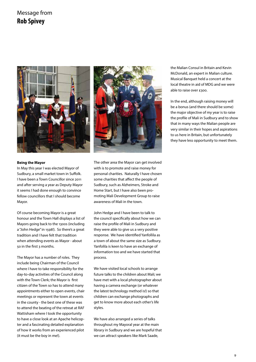### Message from **Rob Spivey**





#### **Being the Mayor**

In May this year I was elected Mayor of Sudbury, a small market town in Suffolk. I have been a Town Councillor since 2011 and after serving a year as Deputy Mayor it seems I had done enough to convince fellow councillors that I should become Mayor.

Of course becoming Mayor is a great honour and the Town Hall displays a list of Mayors going back to the 1300s (including a "John Hedge" in 1598!). So there's a great tradition and I have felt that tradition when attending events as Mayor - about 50 in the first 3 months.

The Mayor has a number of roles. They include being Chairman of the Council where I have to take responsibility for the day-to-day activities of the Council along with the Town Clerk; the Mayor is first citizen of the Town so has to attend many appointments either to open events, chair meetings or represent the town at events in the county - the best one of these was to attend the beating of the retreat at RAF Wattisham where I took the opportunity to have a close look at an Apache helicopter and a fascinating detailed explanation of how it works from an experienced pilot (it must be the boy in me!).

The other area the Mayor can get involved with is to promote and raise money for personal charities. Naturally I have chosen some charities that affect the people of Sudbury, such as Alzheimers, Stroke and Home Start, but I have also been promoting Mali Development Group to raise awareness of Mali in the town.

John Hedge and I have been to talk to the council specifically about how we can raise the profile of Mali in Sudbury and they were able to give us a very positive response. We have identified Yanfollila as a town of about the same size as Sudbury. Yanfolila is keen to have an exchange of information too and we have started that process.

We have visited local schools to arrange future talks to the children about Mali; we have met with a local photographer about having a camera exchange (or whatever the latest technology method is!) so that children can exchange photographs and get to know more about each other's life styles.

We have also arranged a series of talks throughout my Mayoral year at the main library in Sudbury and we are hopeful that we can attract speakers like Mark Saade,

the Malian Consul in Britain and Kevin McDonald, an expert in Malian culture. Musical Banquet held a concert at the local theatre in aid of MDG and we were able to raise over £300.

In the end, although raising money will be a bonus (and there should be some) the major objective of my year is to raise the profile of Mali in Sudbury and to show that in many ways the Malian people are very similar in their hopes and aspirations to us here in Britain, but unfortunately they have less opportunity to meet them.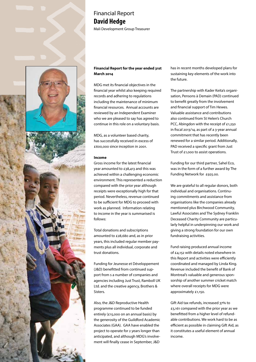

### Financial Report **David Hedge** Mali Development Group Treasurer

10

10

### **Financial Report for the year ended 31st March 2014**

MDG met its financial objectives in the financial year whilst also keeping required records and adhering to regulations including the maintenance of minimum financial resources. Annual accounts are reviewed by an Independent Examiner who we are pleased to say has agreed to continue in this role on a voluntary basis.

MDG, as a volunteer based charity, has successfully received in excess of £600,000 since inception in 2001.

#### **Income**

Gross income for the latest financial year amounted to £38,413 and this was achieved within a challenging economic environment. This represented a reduction compared with the prior year although receipts were exceptionally high for that period. Nevertheless, revenue continued to be sufficient for MDG to proceed with work as planned. Information relating to income in the year is summarised is follows:

Total donations and subscriptions amounted to £28,680 and, as in prior years, this included regular member payments plus all individual, corporate and trust donations.

Funding for Jeunesse et Développement (J&D) benefitted from continued support from s a number of companies and agencies including Just Trust, Ramboll UK Ltd. and the creative agency, Brothers & Sisters.

Also, the J&D Reproductive Health programme continued to be funded entirely (£15,000 on an annual basis) by the generosity of the Guildford Academic Associates (GAA). GAA have enabled the project to operate for 2 years longer than anticipated, and although MDG's involvement will finally cease in September, J&D

has in recent months developed plans for sustaining key elements of the work into the future.

The partnership with Kader Keita's organisation, Pensons à Demain (PAD) continued to benefit greatly from the involvement and financial support of Tim Hewes. Valuable assistance and contributions also continued from St Helen's Church PCC, Abingdon with the receipt of £1,250 in fiscal 2013/14, as part of a 3-year annual commitment that has recently been renewed for a similar period. Additionally, PAD received a specific grant from Just Trust of £1,000 to assist operations.

Funding for our third partner, Sahel Eco, was in the form of a further award by The Funding Network for £925.00.

We are grateful to all regular donors, both individual and organisations. Continuing commitments and assistance from organisations like the companies already mentioned plus Birchwood Community, Lawful Associates and The Sydney Franklin Deceased Charity Community are particularly helpful in underpinning our work and giving a strong foundation for our own fundraising activities.

Fund raising produced annual income of £4,152 with details noted elsewhere in this Report and activities were efficiently coordinated and managed by Linda King. Revenue included the benefit of Bank of Montreal's valuable and generous sponsorship of another summer cricket match where overall receipts for MDG were approximately £1,150.

Gift Aid tax refunds, increased 37% to £5,161 compared with the prior year as we benefitted from a higher level of refundable contributions. We work hard to be as efficient as possible in claiming Gift Aid, as it constitutes a useful element of annual income.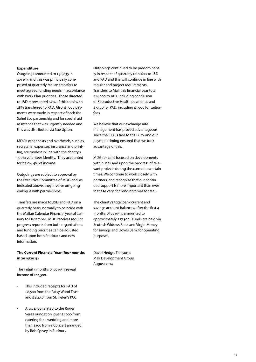#### **Expenditure**

Outgoings amounted to £38,035 in 2013/14 and this was principally comprised of quarterly Malian transfers to meet agreed funding needs in accordance with Work Plan priorities. Those directed to J&D represented 62% of this total with 28% transferred to PAD. Also, £1,000 payments were made in respect of both the Sahel Eco partnership and for special aid assistance that was urgently needed and this was distributed via Sue Upton.

MDG's other costs and overheads, such as secretarial expenses, insurance and printing, are modest in line with the charity's 100% volunteer identity. They accounted for below 4% of income.

Outgoings are subject to approval by the Executive Committee of MDG and, as indicated above, they involve on-going dialogue with partnerships.

Transfers are made to J&D and PAD on a quarterly basis, normally to coincide with the Malian Calendar Financial year of January to December. MDG receives regular progress reports from both organisations and funding priorities can be adjusted based upon both feedback and new information.

### **The Current Financial Year (four months in 2014/2015)**

The initial 4 months of 2014/15 reveal income of £14,500.

- This included receipts for PAD of £8,500 from the Patsy Wood Trust and £312.50 from St. Helen's PCC.
- Also, £500 related to the Roger Vere Foundation, over £1,000 from catering for a wedding and more than £300 from a Concert arranged by Rob Spivey in Sudbury.

Outgoings continued to be predominantly in respect of quarterly transfers to J&D and PAD and this will continue in line with regular and project requirements. Transfers to Mali this financial year total £14,000 to J&D, including conclusion of Reproductive Health payments, and £7,500 for PAD, including £1,000 for tuition  $f_{\alpha\alpha\beta}$ 

We believe that our exchange rate management has proved advantageous, since the CFA is tied to the Euro, and our payment timing ensured that we took advantage of this.

MDG remains focused on developments within Mali and upon the progress of relevant projects during the current uncertain times. We continue to work closely with partners, and recognise that our continued support is more important than ever in these very challenging times for Mali.

The charity's total bank current and savings account balances, after the first 4 months of 2014/15, amounted to approximately £27,500. Funds are held via Scottish Widows Bank and Virgin Money for savings and Lloyds Bank for operating purposes.

David Hedge, Treasurer, Mali Development Group August 2014